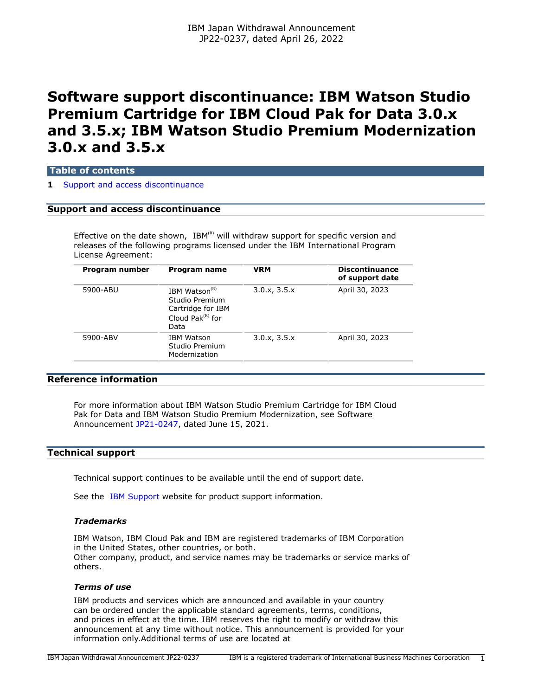# **Software support discontinuance: IBM Watson Studio Premium Cartridge for IBM Cloud Pak for Data 3.0.x and 3.5.x; IBM Watson Studio Premium Modernization 3.0.x and 3.5.x**

## **Table of contents**

#### **1** [Support and access discontinuance](#page-0-0)

## <span id="page-0-0"></span>**Support and access discontinuance**

Effective on the date shown, IBM(R) will withdraw support for specific version and releases of the following programs licensed under the IBM International Program License Agreement:

| Program number | Program name                                                                              | <b>VRM</b>   | <b>Discontinuance</b><br>of support date |
|----------------|-------------------------------------------------------------------------------------------|--------------|------------------------------------------|
| 5900-ABU       | IBM Watson $(R)$<br>Studio Premium<br>Cartridge for IBM<br>Cloud Pak $^{(R)}$ for<br>Data | 3.0.x, 3.5.x | April 30, 2023                           |
| 5900-ABV       | <b>IBM Watson</b><br>Studio Premium<br>Modernization                                      | 3.0.x, 3.5.x | April 30, 2023                           |

## **Reference information**

For more information about IBM Watson Studio Premium Cartridge for IBM Cloud Pak for Data and IBM Watson Studio Premium Modernization, see Software Announcement [JP21-0247,](http://www.ibm.com/common/ssi/cgi-bin/ssialias?infotype=an&subtype=ca&appname=gpateam&supplier=760&letternum=ENUSJP21-0247) dated June 15, 2021.

## **Technical support**

Technical support continues to be available until the end of support date.

See the [IBM Support](https://www.ibm.com/support) website for product support information.

### *Trademarks*

IBM Watson, IBM Cloud Pak and IBM are registered trademarks of IBM Corporation in the United States, other countries, or both. Other company, product, and service names may be trademarks or service marks of others.

#### *Terms of use*

IBM products and services which are announced and available in your country can be ordered under the applicable standard agreements, terms, conditions, and prices in effect at the time. IBM reserves the right to modify or withdraw this announcement at any time without notice. This announcement is provided for your information only.Additional terms of use are located at